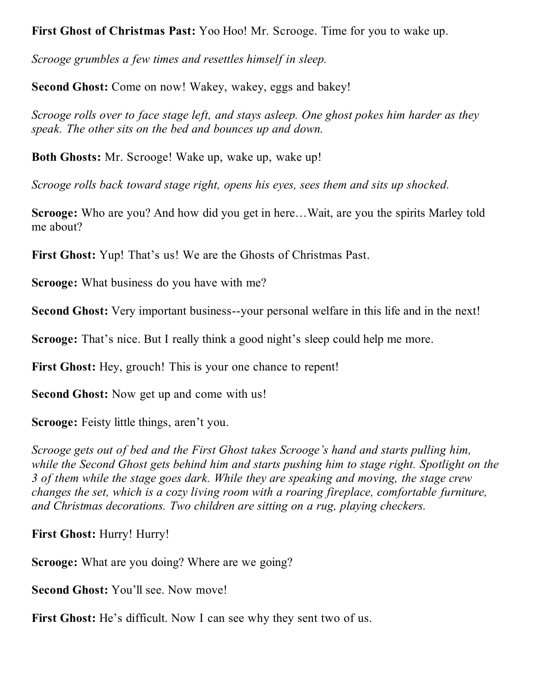**First Ghost of Christmas Past:** Yoo Hoo! Mr. Scrooge. Time for you to wake up.

*Scrooge grumbles a few times and resettles himself in sleep.*

**Second Ghost:** Come on now! Wakey, wakey, eggs and bakey!

*Scrooge rolls over to face stage left, and stays asleep. One ghost pokes him harder as they speak. The other sits on the bed and bounces up and down.*

**Both Ghosts:** Mr. Scrooge! Wake up, wake up, wake up!

*Scrooge rolls back toward stage right, opens his eyes, sees them and sits up shocked.*

**Scrooge:** Who are you? And how did you get in here…Wait, are you the spirits Marley told me about?

**First Ghost:** Yup! That's us! We are the Ghosts of Christmas Past.

**Scrooge:** What business do you have with me?

**Second Ghost:** Very important business--your personal welfare in this life and in the next!

**Scrooge:** That's nice. But I really think a good night's sleep could help me more.

**First Ghost:** Hey, grouch! This is your one chance to repent!

**Second Ghost:** Now get up and come with us!

**Scrooge:** Feisty little things, aren't you.

*Scrooge gets out of bed and the First Ghost takes Scrooge's hand and starts pulling him, while the Second Ghost gets behind him and starts pushing him to stage right. Spotlight on the 3 of them while the stage goes dark. While they are speaking and moving, the stage crew changes the set, which is a cozy living room with a roaring fireplace, comfortable furniture, and Christmas decorations. Two children are sitting on a rug, playing checkers.*

**First Ghost:** Hurry! Hurry!

**Scrooge:** What are you doing? Where are we going?

**Second Ghost:** You'll see. Now move!

**First Ghost:** He's difficult. Now I can see why they sent two of us.